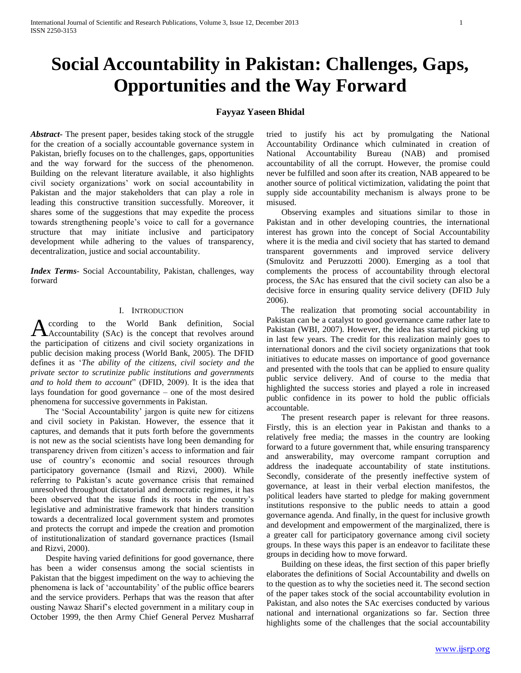# **Social Accountability in Pakistan: Challenges, Gaps, Opportunities and the Way Forward**

# **Fayyaz Yaseen Bhidal**

*Abstract***-** The present paper, besides taking stock of the struggle for the creation of a socially accountable governance system in Pakistan, briefly focuses on to the challenges, gaps, opportunities and the way forward for the success of the phenomenon. Building on the relevant literature available, it also highlights civil society organizations' work on social accountability in Pakistan and the major stakeholders that can play a role in leading this constructive transition successfully. Moreover, it shares some of the suggestions that may expedite the process towards strengthening people's voice to call for a governance structure that may initiate inclusive and participatory development while adhering to the values of transparency, decentralization, justice and social accountability.

*Index Terms*- Social Accountability, Pakistan, challenges, way forward

#### I. INTRODUCTION

ccording to the World Bank definition, Social Accountability (SAc) is the concept that revolves around the participation of citizens and civil society organizations in public decision making process (World Bank, 2005). The DFID defines it as '*The ability of the citizens, civil society and the private sector to scrutinize public institutions and governments and to hold them to account*" (DFID, 2009). It is the idea that lays foundation for good governance – one of the most desired phenomena for successive governments in Pakistan.

 The 'Social Accountability' jargon is quite new for citizens and civil society in Pakistan. However, the essence that it captures, and demands that it puts forth before the governments is not new as the social scientists have long been demanding for transparency driven from citizen's access to information and fair use of country's economic and social resources through participatory governance (Ismail and Rizvi, 2000). While referring to Pakistan's acute governance crisis that remained unresolved throughout dictatorial and democratic regimes, it has been observed that the issue finds its roots in the country's legislative and administrative framework that hinders transition towards a decentralized local government system and promotes and protects the corrupt and impede the creation and promotion of institutionalization of standard governance practices (Ismail and Rizvi, 2000).

 Despite having varied definitions for good governance, there has been a wider consensus among the social scientists in Pakistan that the biggest impediment on the way to achieving the phenomena is lack of 'accountability' of the public office bearers and the service providers. Perhaps that was the reason that after ousting Nawaz Sharif's elected government in a military coup in October 1999, the then Army Chief General Pervez Musharraf

tried to justify his act by promulgating the National Accountability Ordinance which culminated in creation of National Accountability Bureau (NAB) and promised accountability of all the corrupt. However, the promise could never be fulfilled and soon after its creation, NAB appeared to be another source of political victimization, validating the point that supply side accountability mechanism is always prone to be misused.

 Observing examples and situations similar to those in Pakistan and in other developing countries, the international interest has grown into the concept of Social Accountability where it is the media and civil society that has started to demand transparent governments and improved service delivery (Smulovitz and Peruzzotti 2000). Emerging as a tool that complements the process of accountability through electoral process, the SAc has ensured that the civil society can also be a decisive force in ensuring quality service delivery (DFID July 2006).

 The realization that promoting social accountability in Pakistan can be a catalyst to good governance came rather late to Pakistan (WBI, 2007). However, the idea has started picking up in last few years. The credit for this realization mainly goes to international donors and the civil society organizations that took initiatives to educate masses on importance of good governance and presented with the tools that can be applied to ensure quality public service delivery. And of course to the media that highlighted the success stories and played a role in increased public confidence in its power to hold the public officials accountable.

 The present research paper is relevant for three reasons. Firstly, this is an election year in Pakistan and thanks to a relatively free media; the masses in the country are looking forward to a future government that, while ensuring transparency and answerability, may overcome rampant corruption and address the inadequate accountability of state institutions. Secondly, considerate of the presently ineffective system of governance, at least in their verbal election manifestos, the political leaders have started to pledge for making government institutions responsive to the public needs to attain a good governance agenda. And finally, in the quest for inclusive growth and development and empowerment of the marginalized, there is a greater call for participatory governance among civil society groups. In these ways this paper is an endeavor to facilitate these groups in deciding how to move forward.

 Building on these ideas, the first section of this paper briefly elaborates the definitions of Social Accountability and dwells on to the question as to why the societies need it. The second section of the paper takes stock of the social accountability evolution in Pakistan, and also notes the SAc exercises conducted by various national and international organizations so far. Section three highlights some of the challenges that the social accountability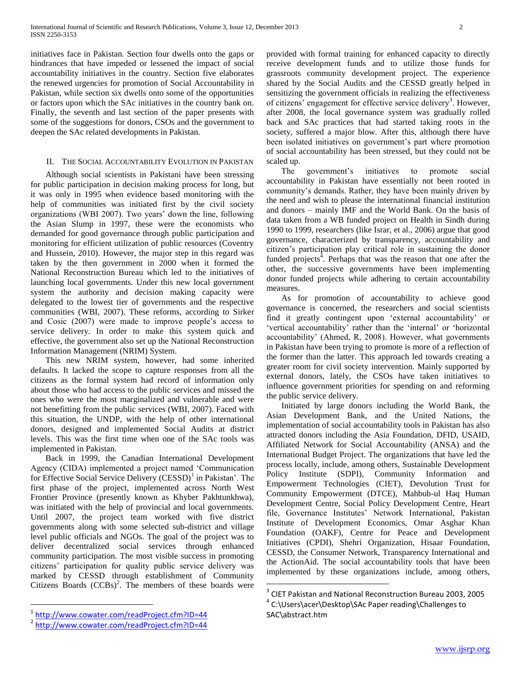initiatives face in Pakistan. Section four dwells onto the gaps or hindrances that have impeded or lessened the impact of social accountability initiatives in the country. Section five elaborates the renewed urgencies for promotion of Social Accountability in Pakistan, while section six dwells onto some of the opportunities or factors upon which the SAc initiatives in the country bank on. Finally, the seventh and last section of the paper presents with some of the suggestions for donors, CSOs and the government to deepen the SAc related developments in Pakistan.

### II. THE SOCIAL ACCOUNTABILITY EVOLUTION IN PAKISTAN

 Although social scientists in Pakistani have been stressing for public participation in decision making process for long, but it was only in 1995 when evidence based monitoring with the help of communities was initiated first by the civil society organizations (WBI 2007). Two years' down the line, following the Asian Slump in 1997, these were the economists who demanded for good governance through public participation and monitoring for efficient utilization of public resources (Coventry and Hussein, 2010). However, the major step in this regard was taken by the then government in 2000 when it formed the National Reconstruction Bureau which led to the initiatives of launching local governments. Under this new local government system the authority and decision making capacity were delegated to the lowest tier of governments and the respective communities (WBI, 2007). These reforms, according to Sirker and Cosic (2007) were made to improve people's access to service delivery. In order to make this system quick and effective, the government also set up the National Reconstruction Information Management (NRIM) System.

 This new NRIM system, however, had some inherited defaults. It lacked the scope to capture responses from all the citizens as the formal system had record of information only about those who had access to the public services and missed the ones who were the most marginalized and vulnerable and were not benefitting from the public services (WBI, 2007). Faced with this situation, the UNDP, with the help of other international donors, designed and implemented Social Audits at district levels. This was the first time when one of the SAc tools was implemented in Pakistan.

 Back in 1999, the Canadian International Development Agency (CIDA) implemented a project named 'Communication for Effective Social Service Delivery (CESSD)<sup>1</sup> in Pakistan'. The first phase of the project, implemented across North West Frontier Province (presently known as Khyber Pakhtunkhwa), was initiated with the help of provincial and local governments. Until 2007, the project team worked with five district governments along with some selected sub-district and village level public officials and NGOs. The goal of the project was to deliver decentralized social services through enhanced community participation. The most visible success in promoting citizens' participation for quality public service delivery was marked by CESSD through establishment of Community Citizens Boards  $(CCBs)^2$ . The members of these boards were

 The government's initiatives to promote social accountability in Pakistan have essentially not been rooted in community's demands. Rather, they have been mainly driven by the need and wish to please the international financial institution and donors – mainly IMF and the World Bank. On the basis of data taken from a WB funded project on Health in Sindh during 1990 to 1999, researchers (like Israr, et al., 2006) argue that good governance, characterized by transparency, accountability and citizen's participation play critical role in sustaining the donor funded projects<sup> $4$ </sup>. Perhaps that was the reason that one after the other, the successive governments have been implementing donor funded projects while adhering to certain accountability measures.

 As for promotion of accountability to achieve good governance is concerned, the researchers and social scientists find it greatly contingent upon 'external accountability' or 'vertical accountability' rather than the 'internal' or 'horizontal accountability' (Ahmed, R, 2008). However, what governments in Pakistan have been trying to promote is more of a reflection of the former than the latter. This approach led towards creating a greater room for civil society intervention. Mainly supported by external donors, lately, the CSOs have taken initiatives to influence government priorities for spending on and reforming the public service delivery.

 Initiated by large donors including the World Bank, the Asian Development Bank, and the United Nations, the implementation of social accountability tools in Pakistan has also attracted donors including the Asia Foundation, DFID, USAID, Affiliated Network for Social Accountability (ANSA) and the International Budget Project. The organizations that have led the process locally, include, among others, Sustainable Development Policy Institute (SDPI), Community Information and Empowerment Technologies (CIET), Devolution Trust for Community Empowerment (DTCE), Mahbub-ul Haq Human Development Centre, Social Policy Development Centre, Heart file, Governance Institutes' Network International, Pakistan Institute of Development Economics, Omar Asghar Khan Foundation (OAKF), Centre for Peace and Development Initiatives (CPDI), Shehri Organization, Hisaar Foundation, CESSD, the Consumer Network, Transparency International and the ActionAid. The social accountability tools that have been implemented by these organizations include, among others,

 $\overline{a}$ 

 $\overline{a}$ 1

provided with formal training for enhanced capacity to directly receive development funds and to utilize those funds for grassroots community development project. The experience shared by the Social Audits and the CESSD greatly helped in sensitizing the government officials in realizing the effectiveness of citizens' engagement for effective service delivery<sup>3</sup>. However, after 2008, the local governance system was gradually rolled back and SAc practices that had started taking roots in the society, suffered a major blow. After this, although there have been isolated initiatives on government's part where promotion of social accountability has been stressed, but they could not be scaled up.

<sup>&</sup>lt;sup>3</sup> CIET Pakistan and National Reconstruction Bureau 2003, 2005

<sup>&</sup>lt;sup>4</sup> C:\Users\acer\Desktop\SAc Paper reading\Challenges to SAC\abstract.htm

<http://www.cowater.com/readProject.cfm?ID=44>

<sup>2</sup> <http://www.cowater.com/readProject.cfm?ID=44>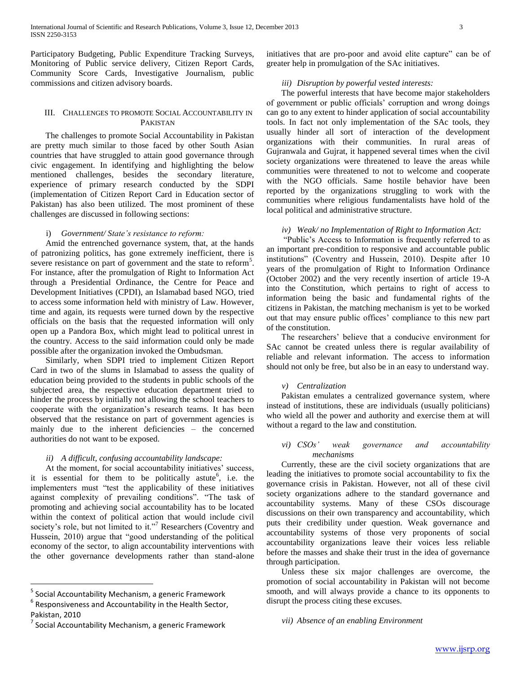Participatory Budgeting, Public Expenditure Tracking Surveys, Monitoring of Public service delivery, Citizen Report Cards, Community Score Cards, Investigative Journalism, public commissions and citizen advisory boards.

# III. CHALLENGES TO PROMOTE SOCIAL ACCOUNTABILITY IN PAKISTAN

 The challenges to promote Social Accountability in Pakistan are pretty much similar to those faced by other South Asian countries that have struggled to attain good governance through civic engagement. In identifying and highlighting the below mentioned challenges, besides the secondary literature, experience of primary research conducted by the SDPI (implementation of Citizen Report Card in Education sector of Pakistan) has also been utilized. The most prominent of these challenges are discussed in following sections:

#### i) *Government/ State's resistance to reform:*

 Amid the entrenched governance system, that, at the hands of patronizing politics, has gone extremely inefficient, there is severe resistance on part of government and the state to reform<sup>5</sup>. For instance, after the promulgation of Right to Information Act through a Presidential Ordinance, the Centre for Peace and Development Initiatives (CPDI), an Islamabad based NGO, tried to access some information held with ministry of Law. However, time and again, its requests were turned down by the respective officials on the basis that the requested information will only open up a Pandora Box, which might lead to political unrest in the country. Access to the said information could only be made possible after the organization invoked the Ombudsman.

 Similarly, when SDPI tried to implement Citizen Report Card in two of the slums in Islamabad to assess the quality of education being provided to the students in public schools of the subjected area, the respective education department tried to hinder the process by initially not allowing the school teachers to cooperate with the organization's research teams. It has been observed that the resistance on part of government agencies is mainly due to the inherent deficiencies – the concerned authorities do not want to be exposed.

#### *ii) A difficult, confusing accountability landscape:*

 At the moment, for social accountability initiatives' success, it is essential for them to be politically astute<sup>6</sup>, i.e. the implementers must "test the applicability of these initiatives against complexity of prevailing conditions". "The task of promoting and achieving social accountability has to be located within the context of political action that would include civil society's role, but not limited to it."<sup>7</sup> Researchers (Coventry and Hussein, 2010) argue that "good understanding of the political economy of the sector, to align accountability interventions with the other governance developments rather than stand-alone

 $\overline{a}$ 

initiatives that are pro-poor and avoid elite capture" can be of greater help in promulgation of the SAc initiatives.

# *iii) Disruption by powerful vested interests:*

 The powerful interests that have become major stakeholders of government or public officials' corruption and wrong doings can go to any extent to hinder application of social accountability tools. In fact not only implementation of the SAc tools, they usually hinder all sort of interaction of the development organizations with their communities. In rural areas of Gujranwala and Gujrat, it happened several times when the civil society organizations were threatened to leave the areas while communities were threatened to not to welcome and cooperate with the NGO officials. Same hostile behavior have been reported by the organizations struggling to work with the communities where religious fundamentalists have hold of the local political and administrative structure.

#### *iv) Weak/ no Implementation of Right to Information Act:*

 "Public's Access to Information is frequently referred to as an important pre-condition to responsive and accountable public institutions" (Coventry and Hussein, 2010). Despite after 10 years of the promulgation of Right to Information Ordinance (October 2002) and the very recently insertion of article 19-A into the Constitution, which pertains to right of access to information being the basic and fundamental rights of the citizens in Pakistan, the matching mechanism is yet to be worked out that may ensure public offices' compliance to this new part of the constitution.

 The researchers' believe that a conducive environment for SAc cannot be created unless there is regular availability of reliable and relevant information. The access to information should not only be free, but also be in an easy to understand way.

#### *v) Centralization*

 Pakistan emulates a centralized governance system, where instead of institutions, these are individuals (usually politicians) who wield all the power and authority and exercise them at will without a regard to the law and constitution.

#### *vi) CSOs' weak governance and accountability mechanisms*

 Currently, these are the civil society organizations that are leading the initiatives to promote social accountability to fix the governance crisis in Pakistan. However, not all of these civil society organizations adhere to the standard governance and accountability systems. Many of these CSOs discourage discussions on their own transparency and accountability, which puts their credibility under question. Weak governance and accountability systems of those very proponents of social accountability organizations leave their voices less reliable before the masses and shake their trust in the idea of governance through participation.

 Unless these six major challenges are overcome, the promotion of social accountability in Pakistan will not become smooth, and will always provide a chance to its opponents to disrupt the process citing these excuses.

<sup>&</sup>lt;sup>5</sup> Social Accountability Mechanism, a generic Framework

<sup>6</sup> Responsiveness and Accountability in the Health Sector, Pakistan, 2010

<sup>&</sup>lt;sup>7</sup> Social Accountability Mechanism, a generic Framework

*vii) Absence of an enabling Environment*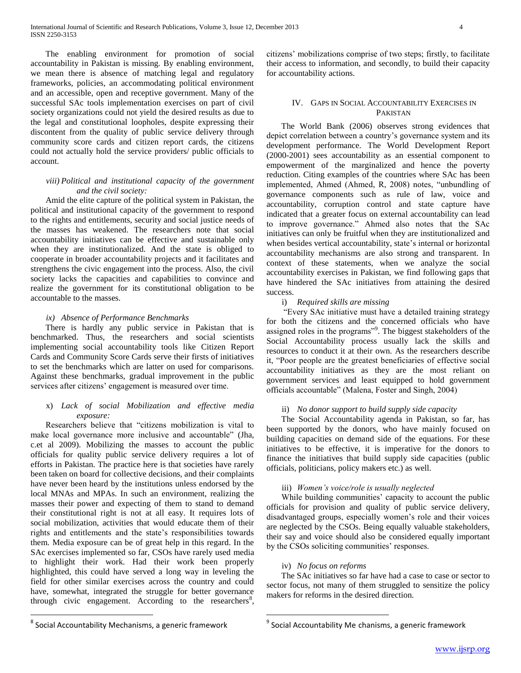The enabling environment for promotion of social accountability in Pakistan is missing. By enabling environment, we mean there is absence of matching legal and regulatory frameworks, policies, an accommodating political environment and an accessible, open and receptive government. Many of the successful SAc tools implementation exercises on part of civil society organizations could not yield the desired results as due to the legal and constitutional loopholes, despite expressing their discontent from the quality of public service delivery through community score cards and citizen report cards, the citizens could not actually hold the service providers/ public officials to account.

### *viii) Political and institutional capacity of the government and the civil society:*

 Amid the elite capture of the political system in Pakistan, the political and institutional capacity of the government to respond to the rights and entitlements, security and social justice needs of the masses has weakened. The researchers note that social accountability initiatives can be effective and sustainable only when they are institutionalized. And the state is obliged to cooperate in broader accountability projects and it facilitates and strengthens the civic engagement into the process. Also, the civil society lacks the capacities and capabilities to convince and realize the government for its constitutional obligation to be accountable to the masses.

# *ix) Absence of Performance Benchmarks*

 There is hardly any public service in Pakistan that is benchmarked. Thus, the researchers and social scientists implementing social accountability tools like Citizen Report Cards and Community Score Cards serve their firsts of initiatives to set the benchmarks which are latter on used for comparisons. Against these benchmarks, gradual improvement in the public services after citizens' engagement is measured over time.

#### x) *Lack of social Mobilization and effective media exposure:*

 Researchers believe that "citizens mobilization is vital to make local governance more inclusive and accountable" (Jha, c.et al 2009). Mobilizing the masses to account the public officials for quality public service delivery requires a lot of efforts in Pakistan. The practice here is that societies have rarely been taken on board for collective decisions, and their complaints have never been heard by the institutions unless endorsed by the local MNAs and MPAs. In such an environment, realizing the masses their power and expecting of them to stand to demand their constitutional right is not at all easy. It requires lots of social mobilization, activities that would educate them of their rights and entitlements and the state's responsibilities towards them. Media exposure can be of great help in this regard. In the SAc exercises implemented so far, CSOs have rarely used media to highlight their work. Had their work been properly highlighted, this could have served a long way in leveling the field for other similar exercises across the country and could have, somewhat, integrated the struggle for better governance through civic engagement. According to the researchers<sup>8</sup>, citizens' mobilizations comprise of two steps; firstly, to facilitate their access to information, and secondly, to build their capacity for accountability actions.

# IV. GAPS IN SOCIAL ACCOUNTABILITY EXERCISES IN PAKISTAN

 The World Bank (2006) observes strong evidences that depict correlation between a country's governance system and its development performance. The World Development Report (2000-2001) sees accountability as an essential component to empowerment of the marginalized and hence the poverty reduction. Citing examples of the countries where SAc has been implemented, Ahmed (Ahmed, R, 2008) notes, "unbundling of governance components such as rule of law, voice and accountability, corruption control and state capture have indicated that a greater focus on external accountability can lead to improve governance." Ahmed also notes that the SAc initiatives can only be fruitful when they are institutionalized and when besides vertical accountability, state's internal or horizontal accountability mechanisms are also strong and transparent. In context of these statements, when we analyze the social accountability exercises in Pakistan, we find following gaps that have hindered the SAc initiatives from attaining the desired success.

# i) *Required skills are missing*

 "Every SAc initiative must have a detailed training strategy for both the citizens and the concerned officials who have assigned roles in the programs"<sup>9</sup>. The biggest stakeholders of the Social Accountability process usually lack the skills and resources to conduct it at their own. As the researchers describe it, "Poor people are the greatest beneficiaries of effective social accountability initiatives as they are the most reliant on government services and least equipped to hold government officials accountable" (Malena, Foster and Singh, 2004)

# ii) *No donor support to build supply side capacity*

 The Social Accountability agenda in Pakistan, so far, has been supported by the donors, who have mainly focused on building capacities on demand side of the equations. For these initiatives to be effective, it is imperative for the donors to finance the initiatives that build supply side capacities (public officials, politicians, policy makers etc.) as well.

# iii) *Women's voice/role is usually neglected*

 While building communities' capacity to account the public officials for provision and quality of public service delivery, disadvantaged groups, especially women's role and their voices are neglected by the CSOs. Being equally valuable stakeholders, their say and voice should also be considered equally important by the CSOs soliciting communities' responses.

# iv) *No focus on reforms*

 $\overline{a}$ 

 The SAc initiatives so far have had a case to case or sector to sector focus, not many of them struggled to sensitize the policy makers for reforms in the desired direction.

 $\overline{a}$ 

<sup>&</sup>lt;sup>8</sup> Social Accountability Mechanisms, a generic framework

<sup>&</sup>lt;sup>9</sup> Social Accountability Me chanisms, a generic framework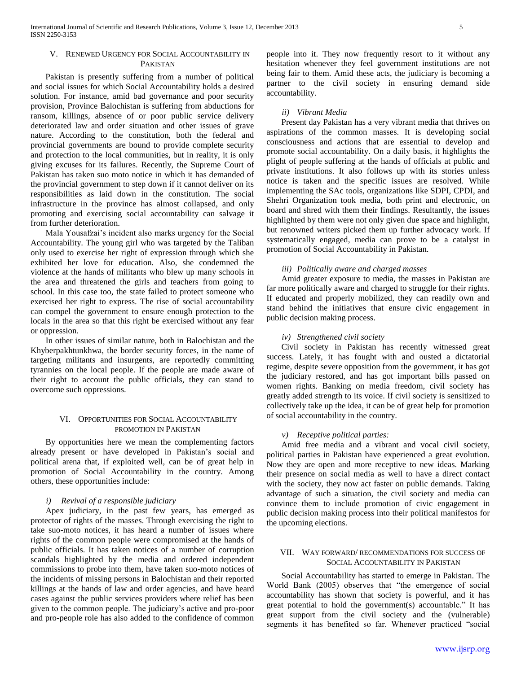# V. RENEWED URGENCY FOR SOCIAL ACCOUNTABILITY IN PAKISTAN

 Pakistan is presently suffering from a number of political and social issues for which Social Accountability holds a desired solution. For instance, amid bad governance and poor security provision, Province Balochistan is suffering from abductions for ransom, killings, absence of or poor public service delivery deteriorated law and order situation and other issues of grave nature. According to the constitution, both the federal and provincial governments are bound to provide complete security and protection to the local communities, but in reality, it is only giving excuses for its failures. Recently, the Supreme Court of Pakistan has taken suo moto notice in which it has demanded of the provincial government to step down if it cannot deliver on its responsibilities as laid down in the constitution. The social infrastructure in the province has almost collapsed, and only promoting and exercising social accountability can salvage it from further deterioration.

 Mala Yousafzai's incident also marks urgency for the Social Accountability. The young girl who was targeted by the Taliban only used to exercise her right of expression through which she exhibited her love for education. Also, she condemned the violence at the hands of militants who blew up many schools in the area and threatened the girls and teachers from going to school. In this case too, the state failed to protect someone who exercised her right to express. The rise of social accountability can compel the government to ensure enough protection to the locals in the area so that this right be exercised without any fear or oppression.

 In other issues of similar nature, both in Balochistan and the Khyberpakhtunkhwa, the border security forces, in the name of targeting militants and insurgents, are reportedly committing tyrannies on the local people. If the people are made aware of their right to account the public officials, they can stand to overcome such oppressions.

# VI. OPPORTUNITIES FOR SOCIAL ACCOUNTABILITY PROMOTION IN PAKISTAN

 By opportunities here we mean the complementing factors already present or have developed in Pakistan's social and political arena that, if exploited well, can be of great help in promotion of Social Accountability in the country. Among others, these opportunities include:

#### *i) Revival of a responsible judiciary*

 Apex judiciary, in the past few years, has emerged as protector of rights of the masses. Through exercising the right to take suo-moto notices, it has heard a number of issues where rights of the common people were compromised at the hands of public officials. It has taken notices of a number of corruption scandals highlighted by the media and ordered independent commissions to probe into them, have taken suo-moto notices of the incidents of missing persons in Balochistan and their reported killings at the hands of law and order agencies, and have heard cases against the public services providers where relief has been given to the common people. The judiciary's active and pro-poor and pro-people role has also added to the confidence of common people into it. They now frequently resort to it without any hesitation whenever they feel government institutions are not being fair to them. Amid these acts, the judiciary is becoming a partner to the civil society in ensuring demand side accountability.

# *ii) Vibrant Media*

 Present day Pakistan has a very vibrant media that thrives on aspirations of the common masses. It is developing social consciousness and actions that are essential to develop and promote social accountability. On a daily basis, it highlights the plight of people suffering at the hands of officials at public and private institutions. It also follows up with its stories unless notice is taken and the specific issues are resolved. While implementing the SAc tools, organizations like SDPI, CPDI, and Shehri Organization took media, both print and electronic, on board and shred with them their findings. Resultantly, the issues highlighted by them were not only given due space and highlight, but renowned writers picked them up further advocacy work. If systematically engaged, media can prove to be a catalyst in promotion of Social Accountability in Pakistan.

#### *iii) Politically aware and charged masses*

 Amid greater exposure to media, the masses in Pakistan are far more politically aware and charged to struggle for their rights. If educated and properly mobilized, they can readily own and stand behind the initiatives that ensure civic engagement in public decision making process.

## *iv) Strengthened civil society*

 Civil society in Pakistan has recently witnessed great success. Lately, it has fought with and ousted a dictatorial regime, despite severe opposition from the government, it has got the judiciary restored, and has got important bills passed on women rights. Banking on media freedom, civil society has greatly added strength to its voice. If civil society is sensitized to collectively take up the idea, it can be of great help for promotion of social accountability in the country.

#### *v) Receptive political parties:*

 Amid free media and a vibrant and vocal civil society, political parties in Pakistan have experienced a great evolution. Now they are open and more receptive to new ideas. Marking their presence on social media as well to have a direct contact with the society, they now act faster on public demands. Taking advantage of such a situation, the civil society and media can convince them to include promotion of civic engagement in public decision making process into their political manifestos for the upcoming elections.

### VII. WAY FORWARD/ RECOMMENDATIONS FOR SUCCESS OF SOCIAL ACCOUNTABILITY IN PAKISTAN

 Social Accountability has started to emerge in Pakistan. The World Bank (2005) observes that "the emergence of social accountability has shown that society is powerful, and it has great potential to hold the government(s) accountable." It has great support from the civil society and the (vulnerable) segments it has benefited so far. Whenever practiced "social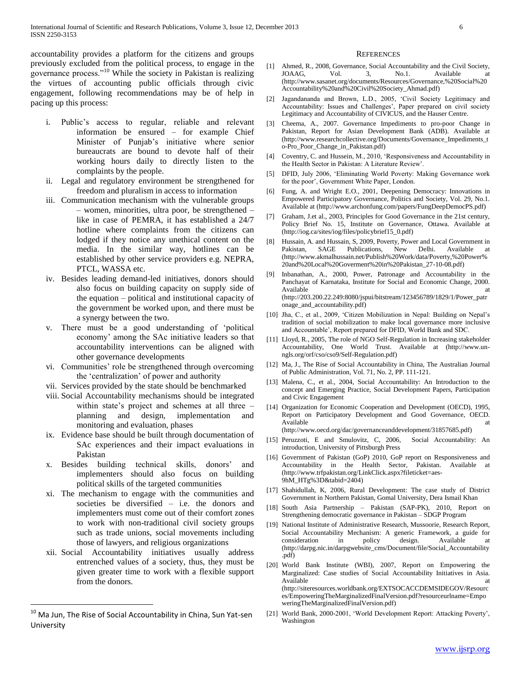accountability provides a platform for the citizens and groups previously excluded from the political process, to engage in the governance process."<sup>10</sup> While the society in Pakistan is realizing the virtues of accounting public officials through civic engagement, following recommendations may be of help in pacing up this process:

- i. Public's access to regular, reliable and relevant information be ensured – for example Chief Minister of Punjab's initiative where senior bureaucrats are bound to devote half of their working hours daily to directly listen to the complaints by the people.
- ii. Legal and regulatory environment be strengthened for freedom and pluralism in access to information
- iii. Communication mechanism with the vulnerable groups – women, minorities, ultra poor, be strengthened – like in case of PEMRA, it has established a 24/7 hotline where complaints from the citizens can lodged if they notice any unethical content on the media. In the similar way, hotlines can be established by other service providers e.g. NEPRA, PTCL, WASSA etc.
- iv. Besides leading demand-led initiatives, donors should also focus on building capacity on supply side of the equation – political and institutional capacity of the government be worked upon, and there must be a synergy between the two.
- v. There must be a good understanding of 'political economy' among the SAc initiative leaders so that accountability interventions can be aligned with other governance developments
- vi. Communities' role be strengthened through overcoming the 'centralization' of power and authority
- vii. Services provided by the state should be benchmarked
- viii. Social Accountability mechanisms should be integrated within state's project and schemes at all three – planning and design, implementation and monitoring and evaluation, phases
- ix. Evidence base should be built through documentation of SAc experiences and their impact evaluations in Pakistan
- x. Besides building technical skills, donors' and implementers should also focus on building political skills of the targeted communities
- xi. The mechanism to engage with the communities and societies be diversified – i.e. the donors and implementers must come out of their comfort zones to work with non-traditional civil society groups such as trade unions, social movements including those of lawyers, and religious organizations
- xii. Social Accountability initiatives usually address entrenched values of a society, thus, they must be given greater time to work with a flexible support from the donors.

 $\overline{a}$ 

#### **REFERENCES**

- [1] Ahmed, R., 2008, Governance, Social Accountability and the Civil Society, JOAAG, Vol. 3, No.1. Available at JOAAG, Vol. 3, No.1. Available at (http://www.sasanet.org/documents/Resources/Governance,%20Social%20 Accountability%20and%20Civil%20Society\_Ahmad.pdf)
- [2] Jagandananda and Brown, L.D., 2005, 'Civil Society Legitimacy and Accountability: Issues and Challenges', Paper prepared on civil society Legitimacy and Accountability of CIVICUS, and the Hauser Centre.
- [3] Cheema, A., 2007. Governance Impediments to pro-poor Change in Pakistan, Report for Asian Development Bank (ADB). Available at (http://www.researchcollective.org/Documents/Governance\_Impediments\_t o-Pro\_Poor\_Change\_in\_Pakistan.pdf)
- [4] Coventry, C. and Hussein, M., 2010, 'Responsiveness and Accountability in the Health Sector in Pakistan: A Literature Review'.
- [5] DFID, July 2006, 'Eliminating World Poverty: Making Governance work for the poor', Government White Paper, London.
- [6] Fung, A. and Wright E.O., 2001, Deepening Democracy: Innovations in Empowered Participatory Governance, Politics and Society, Vol. 29, No.1. Available at (http://www.archonfung.com/papers/FungDeepDemocPS.pdf)
- [7] Graham, J.et al., 2003, Principles for Good Governance in the 21st century, Policy Brief No. 15, Institute on Governance, Ottawa. Available at (http://iog.ca/sites/iog/files/policybrief15\_0.pdf)
- [8] Hussain, A. and Hussain, S, 2009, Poverty, Power and Local Government in Pakistan, SAGE Publications, New Delhi. Available at (http://www.akmalhussain.net/Publish%20Work/data/Poverty,%20Power% 20and%20Local%20Goverment%20in%20Pakistan\_27-10-08.pdf)
- [9] Inbanathan, A., 2000, Power, Patronage and Accountability in the Panchayat of Karnataka, Institute for Social and Economic Change, 2000. Available at the state of the state at the state at the state at the state at the state at the state at the state at the state at the state at the state at the state at the state at the state at the state at the state at t (http://203.200.22.249:8080/jspui/bitstream/123456789/1829/1/Power\_patr onage\_and\_accountability.pdf)
- [10] Jha, C., et al., 2009, 'Citizen Mobilization in Nepal: Building on Nepal's tradition of social mobilization to make local governance more inclusive and Accountable', Report prepared for DFID, World Bank and SDC.
- [11] Lloyd, R., 2005, The role of NGO Self-Regulation in Increasing stakeholder Accountability, One World Trust. Available at (http://www.unngls.org/orf/cso/cso9/Self-Regulation.pdf)
- [12] Ma, J., The Rise of Social Accountability in China, The Australian Journal of Public Administration, Vol. 71, No. 2, PP. 111-121.
- [13] Malena, C., et al., 2004, Social Accountability: An Introduction to the concept and Emerging Practice, Social Development Papers, Participation and Civic Engagement
- [14] Organization for Economic Cooperation and Development (OECD), 1995, Report on Participatory Development and Good Governance, OECD. Available at a state of the state at a state at a state at a state at a state at a state at a state at a state  $\alpha$ (http://www.oecd.org/dac/governanceanddevelopment/31857685.pdf)
- [15] Peruzzoti, E and Smulovitz, C, 2006, Social Accountability: An introduction, University of Pittsburgh Press
- [16] Government of Pakistan (GoP) 2010, GoP report on Responsiveness and Accountability in the Health Sector, Pakistan. Available at (http://www.trfpakistan.org/LinkClick.aspx?fileticket=aes-9hM\_HTg%3D&tabid=2404)
- [17] Shahidullah, K, 2006, Rural Development: The case study of District Government in Northern Pakistan, Gomal University, Dera Ismail Khan
- [18] South Asia Partnership Pakistan (SAP-PK), 2010, Report on Strengthening democratic governance in Pakistan – SDGP Program
- [19] National Institute of Administrative Research, Mussoorie, Research Report, Social Accountability Mechanism: A generic Framework, a guide for consideration in policy design. Available at (http://darpg.nic.in/darpgwebsite\_cms/Document/file/Social\_Accountability .pdf)
- [20] World Bank Institute (WBI), 2007, Report on Empowering the Marginalized: Case studies of Social Accountability Initiatives in Asia. Available at the state of the state at the state at the state at a state at a state at a state at a state at a (http://siteresources.worldbank.org/EXTSOCACCDEMSIDEGOV/Resourc es/EmpoweringTheMarginalizedFinalVersion.pdf?resourceurlname=Empo weringTheMarginalizedFinalVersion.pdf)
- [21] World Bank, 2000-2001, 'World Development Report: Attacking Poverty', Washington

 $^{10}$  Ma Jun, The Rise of Social Accountability in China, Sun Yat-sen University